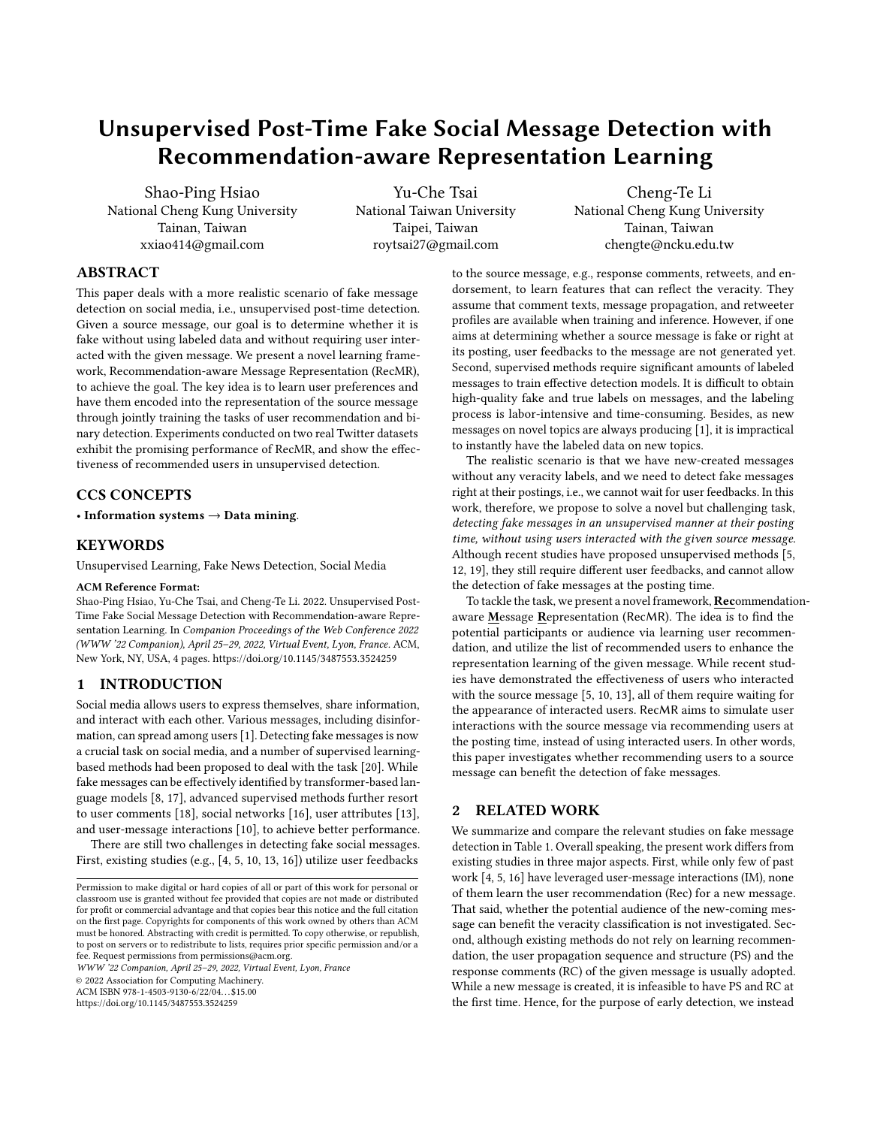# Unsupervised Post-Time Fake Social Message Detection with Recommendation-aware Representation Learning

Shao-Ping Hsiao National Cheng Kung University Tainan, Taiwan xxiao414@gmail.com

Yu-Che Tsai National Taiwan University Taipei, Taiwan roytsai27@gmail.com

Cheng-Te Li National Cheng Kung University Tainan, Taiwan chengte@ncku.edu.tw

# ABSTRACT

This paper deals with a more realistic scenario of fake message detection on social media, i.e., unsupervised post-time detection. Given a source message, our goal is to determine whether it is fake without using labeled data and without requiring user interacted with the given message. We present a novel learning framework, Recommendation-aware Message Representation (RecMR), to achieve the goal. The key idea is to learn user preferences and have them encoded into the representation of the source message through jointly training the tasks of user recommendation and binary detection. Experiments conducted on two real Twitter datasets exhibit the promising performance of RecMR, and show the effectiveness of recommended users in unsupervised detection.

# CCS CONCEPTS

• Information systems → Data mining.

## **KEYWORDS**

Unsupervised Learning, Fake News Detection, Social Media

#### ACM Reference Format:

Shao-Ping Hsiao, Yu-Che Tsai, and Cheng-Te Li. 2022. Unsupervised Post-Time Fake Social Message Detection with Recommendation-aware Representation Learning. In Companion Proceedings of the Web Conference 2022 (WWW '22 Companion), April 25–29, 2022, Virtual Event, Lyon, France. ACM, New York, NY, USA, [4](#page-3-0) pages.<https://doi.org/10.1145/3487553.3524259>

# 1 INTRODUCTION

Social media allows users to express themselves, share information, and interact with each other. Various messages, including disinformation, can spread among users [\[1\]](#page-3-1). Detecting fake messages is now a crucial task on social media, and a number of supervised learningbased methods had been proposed to deal with the task [\[20\]](#page-3-2). While fake messages can be effectively identified by transformer-based language models [\[8,](#page-3-3) [17\]](#page-3-4), advanced supervised methods further resort to user comments [\[18\]](#page-3-5), social networks [\[16\]](#page-3-6), user attributes [\[13\]](#page-3-7), and user-message interactions [\[10\]](#page-3-8), to achieve better performance.

There are still two challenges in detecting fake social messages. First, existing studies (e.g., [\[4,](#page-3-9) [5,](#page-3-10) [10,](#page-3-8) [13,](#page-3-7) [16\]](#page-3-6)) utilize user feedbacks

WWW '22 Companion, April 25–29, 2022, Virtual Event, Lyon, France

© 2022 Association for Computing Machinery.

ACM ISBN 978-1-4503-9130-6/22/04. . . \$15.00

<https://doi.org/10.1145/3487553.3524259>

to the source message, e.g., response comments, retweets, and endorsement, to learn features that can reflect the veracity. They assume that comment texts, message propagation, and retweeter profiles are available when training and inference. However, if one aims at determining whether a source message is fake or right at its posting, user feedbacks to the message are not generated yet. Second, supervised methods require significant amounts of labeled messages to train effective detection models. It is difficult to obtain high-quality fake and true labels on messages, and the labeling process is labor-intensive and time-consuming. Besides, as new messages on novel topics are always producing [\[1\]](#page-3-1), it is impractical to instantly have the labeled data on new topics.

The realistic scenario is that we have new-created messages without any veracity labels, and we need to detect fake messages right at their postings, i.e., we cannot wait for user feedbacks. In this work, therefore, we propose to solve a novel but challenging task, detecting fake messages in an unsupervised manner at their posting time, without using users interacted with the given source message. Although recent studies have proposed unsupervised methods [\[5,](#page-3-10) [12,](#page-3-11) [19\]](#page-3-12), they still require different user feedbacks, and cannot allow the detection of fake messages at the posting time.

To tackle the task, we present a novel framework, Recommendationaware Message Representation (RecMR). The idea is to find the potential participants or audience via learning user recommendation, and utilize the list of recommended users to enhance the representation learning of the given message. While recent studies have demonstrated the effectiveness of users who interacted with the source message [\[5,](#page-3-10) [10,](#page-3-8) [13\]](#page-3-7), all of them require waiting for the appearance of interacted users. RecMR aims to simulate user interactions with the source message via recommending users at the posting time, instead of using interacted users. In other words, this paper investigates whether recommending users to a source message can benefit the detection of fake messages.

## 2 RELATED WORK

We summarize and compare the relevant studies on fake message detection in Table [1.](#page-1-0) Overall speaking, the present work differs from existing studies in three major aspects. First, while only few of past work [\[4,](#page-3-9) [5,](#page-3-10) [16\]](#page-3-6) have leveraged user-message interactions (IM), none of them learn the user recommendation (Rec) for a new message. That said, whether the potential audience of the new-coming message can benefit the veracity classification is not investigated. Second, although existing methods do not rely on learning recommendation, the user propagation sequence and structure (PS) and the response comments (RC) of the given message is usually adopted. While a new message is created, it is infeasible to have PS and RC at the first time. Hence, for the purpose of early detection, we instead

Permission to make digital or hard copies of all or part of this work for personal or classroom use is granted without fee provided that copies are not made or distributed for profit or commercial advantage and that copies bear this notice and the full citation on the first page. Copyrights for components of this work owned by others than ACM must be honored. Abstracting with credit is permitted. To copy otherwise, or republish, to post on servers or to redistribute to lists, requires prior specific permission and/or a fee. Request permissions from permissions@acm.org.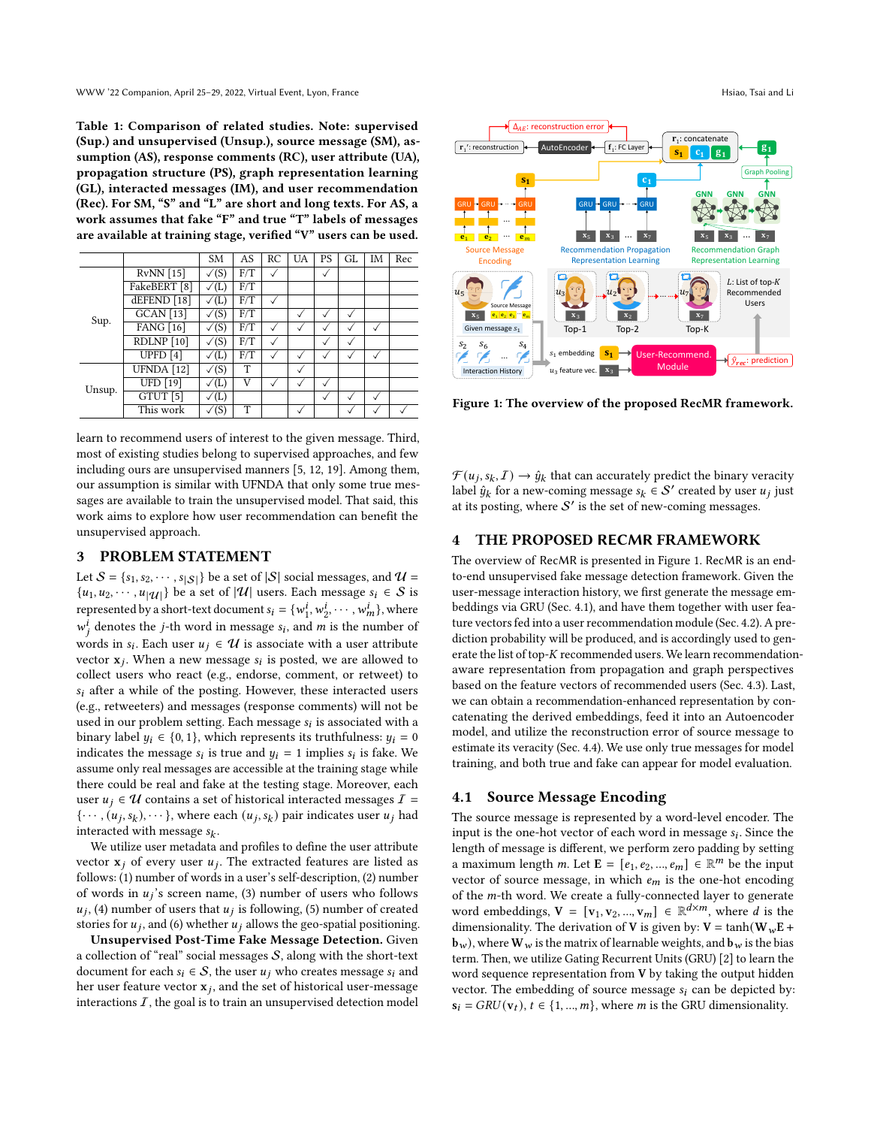<span id="page-1-0"></span>Table 1: Comparison of related studies. Note: supervised (Sup.) and unsupervised (Unsup.), source message (SM), assumption (AS), response comments (RC), user attribute (UA), propagation structure (PS), graph representation learning (GL), interacted messages (IM), and user recommendation (Rec). For SM, "S" and "L" are short and long texts. For AS, a work assumes that fake "F" and true "T" labels of messages are available at training stage, verified "V" users can be used.

|        |                         | <b>SM</b>       | AS  | RC | <b>UA</b>    | PS           | GL. | IM | Rec |
|--------|-------------------------|-----------------|-----|----|--------------|--------------|-----|----|-----|
|        | $RvNN$ [15]             | $\sqrt{(S)}$    | F/T |    |              | $\checkmark$ |     |    |     |
| Sup.   | FakeBERT <sup>[8]</sup> | $\sqrt(L)$      | F/T |    |              |              |     |    |     |
|        | dEFEND [18]             | $\sqrt(L)$      | F/T |    |              |              |     |    |     |
|        | <b>GCAN</b> [13]        | $\sqrt{(S)}$    | F/T |    |              |              |     |    |     |
|        | <b>FANG</b> [16]        | $\sqrt{(S)}$    | F/T |    |              |              |     |    |     |
|        | RDLNP [10]              | $\sqrt{(S)}$    | F/T |    |              |              |     |    |     |
|        | UPFD $[4]$              | (L)             | F/T |    |              |              |     |    |     |
| Unsup. | UFNDA [12]              | $\sqrt{(S)}$    | T   |    | $\checkmark$ |              |     |    |     |
|        | <b>UFD</b> [19]         | (L)             | V   |    |              |              |     |    |     |
|        | GTUT <sup>[5]</sup>     | (L)             |     |    |              |              |     |    |     |
|        | This work               | $^{\prime}$ (S) | T   |    |              |              |     |    |     |

learn to recommend users of interest to the given message. Third, most of existing studies belong to supervised approaches, and few including ours are unsupervised manners [\[5,](#page-3-10) [12,](#page-3-11) [19\]](#page-3-12). Among them, our assumption is similar with UFNDA that only some true messages are available to train the unsupervised model. That said, this work aims to explore how user recommendation can benefit the unsupervised approach.

# 3 PROBLEM STATEMENT

Let  $S = \{s_1, s_2, \dots, s_{|S|}\}\$ be a set of  $|S|$  social messages, and  $U =$  $\{u_1, u_2, \dots, u_{|\mathcal{U}|}\}\$  be a set of  $|\mathcal{U}|$  users. Each message  $s_i \in \mathcal{S}$  is represented by a short-text document  $s_i = \{w_i^i\}$  $i_1^i, w_2^i, \cdots, w_m^i$ , where  $w_i^{\hat{i}}$  denotes the *j*-th word in message  $s_i$ , and m is the number of words in  $s_i$ . Each user  $u_j \in \mathcal{U}$  is associate with a user attribute vector  $x_j$ . When a new message  $s_i$  is posted, we are allowed to collect users who react (e.g., endorse, comment, or retweet) to  $s_i$  after a while of the posting. However, these interacted users (e.g., retweeters) and messages (response comments) will not be used in our problem setting. Each message  $s_i$  is associated with a binary label  $y_i \in \{0, 1\}$ , which represents its truthfulness:  $y_i = 0$ indicates the message  $s_i$  is true and  $y_i = 1$  implies  $s_i$  is fake. We assume only real messages are accessible at the training stage while there could be real and fake at the testing stage. Moreover, each user  $u_i \in U$  contains a set of historical interacted messages  $\mathcal{I}$  =  $\{\cdots, (u_j, s_k), \cdots\}$ , where each  $(u_j, s_k)$  pair indicates user  $u_j$  had interacted with message  $s_k$ .

We utilize user metadata and profiles to define the user attribute vector  $x_j$  of every user  $u_j$ . The extracted features are listed as follows: (1) number of words in a user's self-description, (2) number of words in  $u_j$ 's screen name, (3) number of users who follows  $u_i$ , (4) number of users that  $u_i$  is following, (5) number of created stories for  $u_j$ , and (6) whether  $u_j$  allows the geo-spatial positioning.

Unsupervised Post-Time Fake Message Detection. Given a collection of "real" social messages  $S$ , along with the short-text document for each  $s_i \in S$ , the user  $u_j$  who creates message  $s_i$  and her user feature vector  $\mathbf{x}_j$ , and the set of historical user-message interactions  $I$ , the goal is to train an unsupervised detection model

<span id="page-1-1"></span>

Figure 1: The overview of the proposed RecMR framework.

 $\mathcal{F}(u_j, s_k, \mathcal{I}) \rightarrow \hat{y}_k$  that can accurately predict the binary veracity label  $\hat{y}_k$  for a new-coming message  $s_k \in S'$  created by user  $u_j$  just at its posting, where  $S'$  is the set of new-coming messages.

## 4 THE PROPOSED RECMR FRAMEWORK

The overview of RecMR is presented in Figure [1.](#page-1-1) RecMR is an endto-end unsupervised fake message detection framework. Given the user-message interaction history, we first generate the message embeddings via GRU (Sec. [4.1\)](#page-1-2), and have them together with user feature vectors fed into a user recommendation module (Sec. [4.2\)](#page-2-0). A prediction probability will be produced, and is accordingly used to generate the list of top- $K$  recommended users. We learn recommendationaware representation from propagation and graph perspectives based on the feature vectors of recommended users (Sec. [4.3\)](#page-2-1). Last, we can obtain a recommendation-enhanced representation by concatenating the derived embeddings, feed it into an Autoencoder model, and utilize the reconstruction error of source message to estimate its veracity (Sec. [4.4\)](#page-2-2). We use only true messages for model training, and both true and fake can appear for model evaluation.

## <span id="page-1-2"></span>4.1 Source Message Encoding

The source message is represented by a word-level encoder. The input is the one-hot vector of each word in message  $s_i$ . Since the length of message is different, we perform zero padding by setting a maximum length m. Let  $\mathbf{E} = \begin{bmatrix} i_1, e_2, ..., e_m \end{bmatrix} \in \mathbb{R}^m$  be the input vector of source message, in which  $e_m$  is the one-hot encoding of the  $m$ -th word. We create a fully-connected layer to generate word embeddings,  $V = [v_1, v_2, ..., v_m] \in \mathbb{R}^{d \times m}$ , where d is the dimensionality. The derivation of V is given by:  $V = \tanh(W_w E +$ **), where**  $**W**<sub>w</sub>$  **is the matrix of learnable weights, and**  $**b**<sub>w</sub>$  **is the bias** term. Then, we utilize Gating Recurrent Units (GRU) [\[2\]](#page-3-14) to learn the word sequence representation from V by taking the output hidden vector. The embedding of source message  $s_i$  can be depicted by:  $s_i = GRU(v_t), t \in \{1, ..., m\}$ , where *m* is the GRU dimensionality.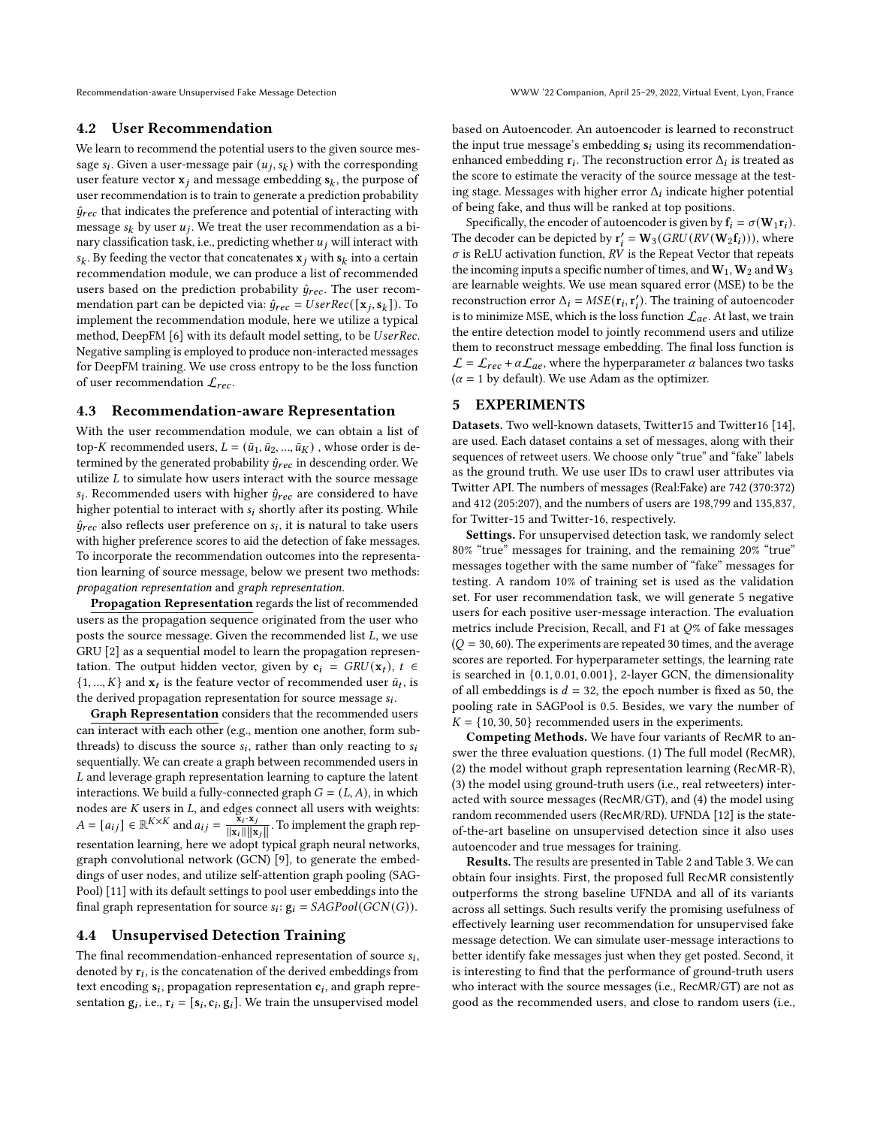## <span id="page-2-0"></span>4.2 User Recommendation

We learn to recommend the potential users to the given source message  $s_i$ . Given a user-message pair  $(u_j, s_k)$  with the corresponding user feature vector  $x_i$  and message embedding  $s_k$ , the purpose of user recommendation is to train to generate a prediction probability  $\hat{y}_{rec}$  that indicates the preference and potential of interacting with message  $s_k$  by user  $u_j$ . We treat the user recommendation as a binary classification task, i.e., predicting whether  $u_j$  will interact with  $s_k$ . By feeding the vector that concatenates  $x_j$  with  $s_k$  into a certain recommendation module, we can produce a list of recommended users based on the prediction probability  $\hat{y}_{rec}$ . The user recommendation part can be depicted via:  $\hat{y}_{rec} = UserRec([\mathbf{x}_i, \mathbf{s}_k])$ . To implement the recommendation module, here we utilize a typical method, DeepFM [\[6\]](#page-3-15) with its default model setting, to be *UserRec*. Negative sampling is employed to produce non-interacted messages for DeepFM training. We use cross entropy to be the loss function of user recommendation  $\mathcal{L}_{rec}$ .

#### <span id="page-2-1"></span>4.3 Recommendation-aware Representation

With the user recommendation module, we can obtain a list of top-K recommended users,  $L = (\bar{u}_1, \bar{u}_2, ..., \bar{u}_K)$ , whose order is determined by the generated probability  $\hat{y}_{rec}$  in descending order. We utilize  $L$  to simulate how users interact with the source message  $s_i$ . Recommended users with higher  $\hat{y}_{rec}$  are considered to have higher potential to interact with  $s_i$  shortly after its posting. While  $\hat{y}_{rec}$  also reflects user preference on  $s_i$ , it is natural to take users with higher preference scores to aid the detection of fake messages. To incorporate the recommendation outcomes into the representation learning of source message, below we present two methods: propagation representation and graph representation.

Propagation Representation regards the list of recommended users as the propagation sequence originated from the user who posts the source message. Given the recommended list  $L$ , we use GRU [\[2\]](#page-3-14) as a sequential model to learn the propagation representation. The output hidden vector, given by  $c_i = GRU(x_t), t \in$  $\{1, ..., K\}$  and  $\mathbf{x}_t$  is the feature vector of recommended user  $\bar{u}_t$ , is the derived propagation representation for source message  $s_i$ .

Graph Representation considers that the recommended users can interact with each other (e.g., mention one another, form subthreads) to discuss the source  $s_i$ , rather than only reacting to  $s_i$ sequentially. We can create a graph between recommended users in  $L$  and leverage graph representation learning to capture the latent interactions. We build a fully-connected graph  $G = (L, A)$ , in which nodes are  $K$  users in  $L$ , and edges connect all users with weights:  $A = [a_{ij}] \in \mathbb{R}^{K \times K}$  and  $a_{ij} = \frac{\mathbf{x}_i \cdot \mathbf{x}_j}{\|\mathbf{x}\| \|\mathbf{x}\|}$  $\frac{|\mathbf{x}_i| \mathbf{x}_j}{\|\mathbf{x}_i\| \|\mathbf{x}_j\|}$ . To implement the graph representation learning, here we adopt typical graph neural networks, graph convolutional network (GCN) [\[9\]](#page-3-16), to generate the embeddings of user nodes, and utilize self-attention graph pooling (SAG-Pool) [\[11\]](#page-3-17) with its default settings to pool user embeddings into the final graph representation for source  $s_i$ :  $g_i = SAGPool(GCN(G))$ .

#### <span id="page-2-2"></span>4.4 Unsupervised Detection Training

The final recommendation-enhanced representation of source  $s_i$ , denoted by  $r_i$ , is the concatenation of the derived embeddings from text encoding  $s_i$ , propagation representation  $c_i$ , and graph representation  $g_i$ , i.e.,  $r_i = [s_i, c_i, g_i]$ . We train the unsupervised model

based on Autoencoder. An autoencoder is learned to reconstruct the input true message's embedding  $s_i$  using its recommendationenhanced embedding  $r_i$ . The reconstruction error  $\Delta_i$  is treated as the score to estimate the veracity of the source message at the testing stage. Messages with higher error  $\Delta_i$  indicate higher potential of being fake, and thus will be ranked at top positions.

Specifically, the encoder of autoencoder is given by  $f_i = \sigma(W_1r_i)$ . The decoder can be depicted by  $\mathbf{r}'_i = \mathbf{W}_3(GRU(RV(\mathbf{W}_2\mathbf{f}_i))),$  where  $\sigma$  is ReLU activation function, RV is the Repeat Vector that repeats the incoming inputs a specific number of times, and  $W_1$ ,  $W_2$  and  $W_3$ are learnable weights. We use mean squared error (MSE) to be the reconstruction error  $\Delta_i = MSE(\mathbf{r}_i, \mathbf{r}'_i)$ . The training of autoencoder is to minimize MSE, which is the loss function  $\mathcal{L}_{ae}$ . At last, we train the entire detection model to jointly recommend users and utilize them to reconstruct message embedding. The final loss function is  $\mathcal{L} = \mathcal{L}_{rec} + \alpha \mathcal{L}_{ae}$ , where the hyperparameter  $\alpha$  balances two tasks  $(\alpha = 1$  by default). We use Adam as the optimizer.

#### 5 EXPERIMENTS

Datasets. Two well-known datasets, Twitter15 and Twitter16 [\[14\]](#page-3-18), are used. Each dataset contains a set of messages, along with their sequences of retweet users. We choose only "true" and "fake" labels as the ground truth. We use user IDs to crawl user attributes via Twitter API. The numbers of messages (Real:Fake) are 742 (370:372) and 412 (205:207), and the numbers of users are 198,799 and 135,837, for Twitter-15 and Twitter-16, respectively.

Settings. For unsupervised detection task, we randomly select 80% "true" messages for training, and the remaining 20% "true" messages together with the same number of "fake" messages for testing. A random 10% of training set is used as the validation set. For user recommendation task, we will generate 5 negative users for each positive user-message interaction. The evaluation metrics include Precision, Recall, and F1 at  $O\%$  of fake messages  $(Q = 30, 60)$ . The experiments are repeated 30 times, and the average scores are reported. For hyperparameter settings, the learning rate is searched in {0.1, 0.01, 0.001}, 2-layer GCN, the dimensionality of all embeddings is  $d = 32$ , the epoch number is fixed as 50, the pooling rate in SAGPool is 0.5. Besides, we vary the number of  $K = \{10, 30, 50\}$  recommended users in the experiments.

Competing Methods. We have four variants of RecMR to answer the three evaluation questions. (1) The full model (RecMR), (2) the model without graph representation learning (RecMR-R), (3) the model using ground-truth users (i.e., real retweeters) interacted with source messages (RecMR/GT), and (4) the model using random recommended users (RecMR/RD). UFNDA [\[12\]](#page-3-11) is the stateof-the-art baseline on unsupervised detection since it also uses autoencoder and true messages for training.

Results. The results are presented in Table [2](#page-3-19) and Table [3.](#page-3-20) We can obtain four insights. First, the proposed full RecMR consistently outperforms the strong baseline UFNDA and all of its variants across all settings. Such results verify the promising usefulness of effectively learning user recommendation for unsupervised fake message detection. We can simulate user-message interactions to better identify fake messages just when they get posted. Second, it is interesting to find that the performance of ground-truth users who interact with the source messages (i.e., RecMR/GT) are not as good as the recommended users, and close to random users (i.e.,